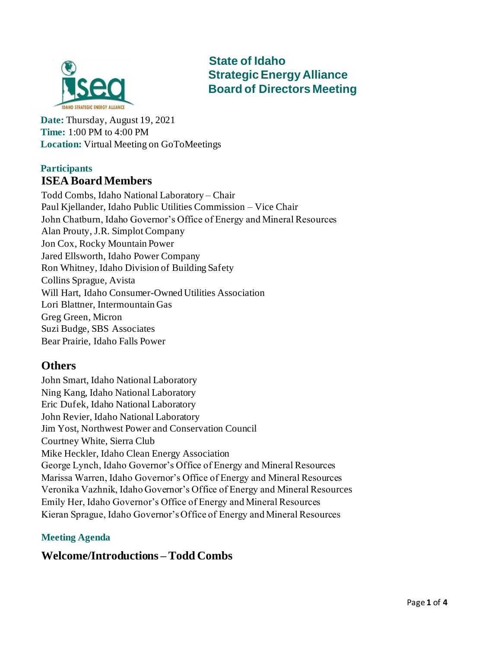

 **State of Idaho Strategic Energy Alliance Board of Directors Meeting** 

**Date:** Thursday, August 19, 2021 **Time:** 1:00 PM to 4:00 PM **Location:** Virtual Meeting on GoToMeetings

#### **Participants ISEA Board Members**

Todd Combs, Idaho National Laboratory – Chair Paul Kjellander, Idaho Public Utilities Commission – Vice Chair John Chatburn, Idaho Governor's Office of Energy and Mineral Resources Alan Prouty, J.R. Simplot Company Jon Cox, Rocky Mountain Power Jared Ellsworth, Idaho Power Company Ron Whitney, Idaho Division of Building Safety Collins Sprague, Avista Will Hart, Idaho Consumer-Owned Utilities Association Lori Blattner, Intermountain Gas Greg Green, Micron Suzi Budge, SBS Associates Bear Prairie, Idaho Falls Power

## **Others**

John Smart, Idaho National Laboratory Ning Kang, Idaho National Laboratory Eric Dufek, Idaho National Laboratory John Revier, Idaho National Laboratory Jim Yost, Northwest Power and Conservation Council Courtney White, Sierra Club Mike Heckler, Idaho Clean Energy Association George Lynch, Idaho Governor's Office of Energy and Mineral Resources Marissa Warren, Idaho Governor's Office of Energy and Mineral Resources Veronika Vazhnik, Idaho Governor's Office of Energy and Mineral Resources Emily Her, Idaho Governor's Office of Energy and Mineral Resources Kieran Sprague, Idaho Governor's Office of Energy and Mineral Resources

#### **Meeting Agenda**

#### **Welcome/Introductions – Todd Combs**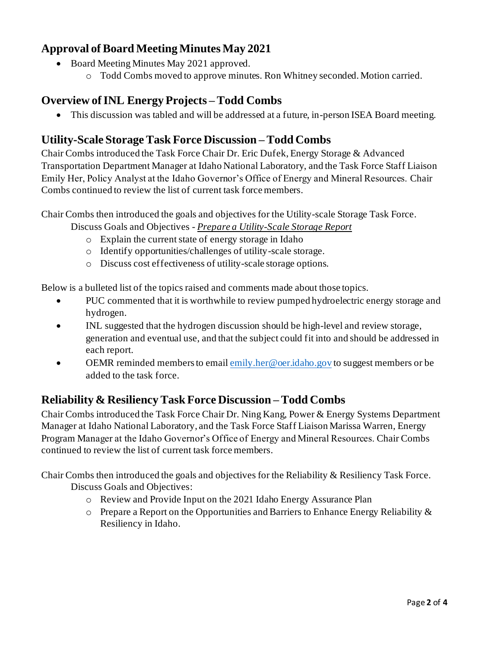## **Approval of Board Meeting Minutes May 2021**

- Board Meeting Minutes May 2021 approved.
	- o Todd Combs moved to approve minutes. Ron Whitney seconded. Motion carried.

### **Overview of INL Energy Projects – Todd Combs**

• This discussion was tabled and will be addressed at a future, in-person ISEA Board meeting.

#### **Utility-Scale Storage Task Force Discussion – Todd Combs**

Chair Combs introduced the Task Force Chair Dr. Eric Dufek, Energy Storage & Advanced Transportation Department Manager at Idaho National Laboratory, and the Task Force Staff Liaison Emily Her, Policy Analyst at the Idaho Governor's Office of Energy and Mineral Resources. Chair Combs continued to review the list of current task force members.

Chair Combs then introduced the goals and objectives for the Utility-scale Storage Task Force.

- Discuss Goals and Objectives *Prepare a Utility-Scale Storage Report*
	- o Explain the current state of energy storage in Idaho
	- o Identify opportunities/challenges of utility-scale storage.
	- o Discuss cost effectiveness of utility-scale storage options.

Below is a bulleted list of the topics raised and comments made about those topics.

- PUC commented that it is worthwhile to review pumped hydroelectric energy storage and hydrogen.
- INL suggested that the hydrogen discussion should be high-level and review storage, generation and eventual use, and that the subject could fit into and should be addressed in each report.
- OEMR reminded members to emai[l emily.her@oer.idaho.gov](mailto:emily.her@oer.idaho.gov) to suggest members or be added to the task force.

## **Reliability & Resiliency Task Force Discussion – Todd Combs**

Chair Combs introduced the Task Force Chair Dr. Ning Kang, Power & Energy Systems Department Manager at Idaho National Laboratory, and the Task Force Staff Liaison Marissa Warren, Energy Program Manager at the Idaho Governor's Office of Energy and Mineral Resources. Chair Combs continued to review the list of current task force members.

Chair Combs then introduced the goals and objectives for the Reliability & Resiliency Task Force.

Discuss Goals and Objectives:

- o Review and Provide Input on the 2021 Idaho Energy Assurance Plan
- o Prepare a Report on the Opportunities and Barriers to Enhance Energy Reliability & Resiliency in Idaho.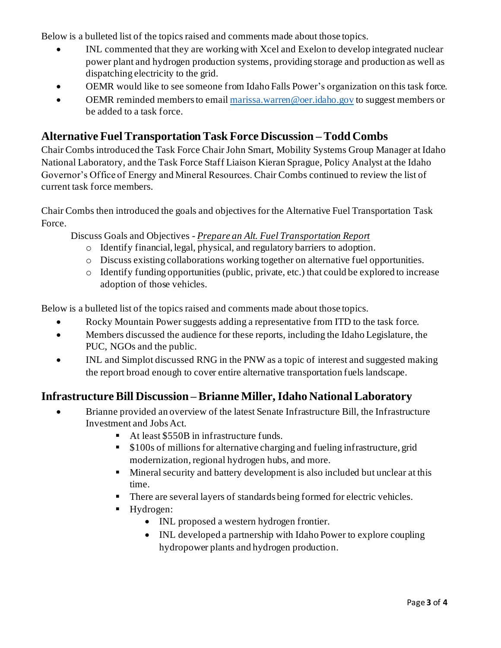Below is a bulleted list of the topics raised and comments made about those topics.

- INL commented that they are working with Xcel and Exelon to develop integrated nuclear power plant and hydrogen production systems, providing storage and production as well as dispatching electricity to the grid.
- OEMR would like to see someone from Idaho Falls Power's organization on this task force.
- OEMR reminded members to emai[l marissa.warren@oer.idaho.gov](mailto:marissa.warren@oer.idaho.gov) to suggest members or be added to a task force.

### **Alternative Fuel Transportation Task Force Discussion – Todd Combs**

Chair Combs introduced the Task Force Chair John Smart, Mobility Systems Group Manager at Idaho National Laboratory, and the Task Force Staff Liaison Kieran Sprague, Policy Analyst at the Idaho Governor's Office of Energy and Mineral Resources. Chair Combs continued to review the list of current task force members.

Chair Combs then introduced the goals and objectives for the Alternative Fuel Transportation Task Force.

Discuss Goals and Objectives - *Prepare an Alt. Fuel Transportation Report*

- o Identify financial, legal, physical, and regulatory barriers to adoption.
- o Discuss existing collaborations working together on alternative fuel opportunities.
- o Identify funding opportunities (public, private, etc.) that could be explored to increase adoption of those vehicles.

Below is a bulleted list of the topics raised and comments made about those topics.

- Rocky Mountain Power suggests adding a representative from ITD to the task force.
- Members discussed the audience for these reports, including the Idaho Legislature, the PUC, NGOs and the public.
- INL and Simplot discussed RNG in the PNW as a topic of interest and suggested making the report broad enough to cover entire alternative transportation fuels landscape.

#### **Infrastructure Bill Discussion – Brianne Miller, Idaho National Laboratory**

- Brianne provided an overview of the latest Senate Infrastructure Bill, the Infrastructure Investment and Jobs Act.
	- At least \$550B in infrastructure funds.
	- \$100s of millions for alternative charging and fueling infrastructure, grid modernization, regional hydrogen hubs, and more.
	- **EXECUTE:** Mineral security and battery development is also included but unclear at this time.
	- There are several layers of standards being formed for electric vehicles.
	- Hydrogen:
		- INL proposed a western hydrogen frontier.
		- INL developed a partnership with Idaho Power to explore coupling hydropower plants and hydrogen production.